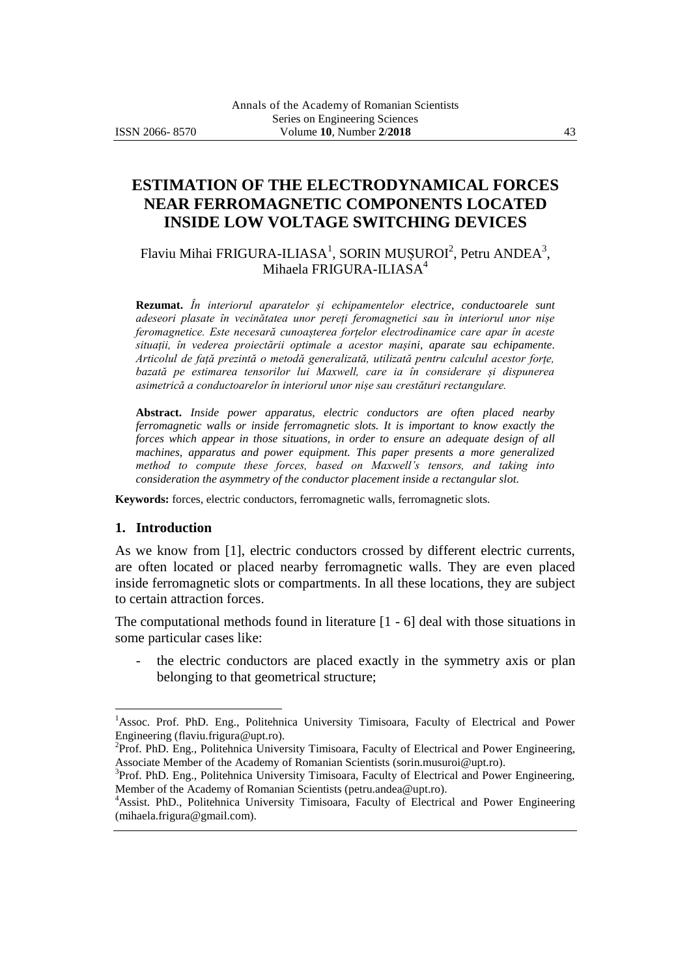# **ESTIMATION OF THE ELECTRODYNAMICAL FORCES NEAR FERROMAGNETIC COMPONENTS LOCATED INSIDE LOW VOLTAGE SWITCHING DEVICES**

Flaviu Mihai FRIGURA-ILIASA<sup>1</sup>, SORIN MUȘUROI<sup>2</sup>, Petru ANDEA<sup>3</sup>, Mihaela FRIGURA-ILIASA<sup>4</sup>

**Rezumat.** *În interiorul aparatelor și echipamentelor electrice, conductoarele sunt adeseori plasate în vecinătatea unor pereți feromagnetici sau în interiorul unor nișe feromagnetice. Este necesară cunoașterea forțelor electrodinamice care apar în aceste situații, în vederea proiectării optimale a acestor mașini, aparate sau echipamente. Articolul de față prezintă o metodă generalizată, utilizată pentru calculul acestor forțe, bazată pe estimarea tensorilor lui Maxwell, care ia în considerare și dispunerea asimetrică a conductoarelor în interiorul unor nișe sau crestături rectangulare.* 

**Abstract.** *Inside power apparatus, electric conductors are often placed nearby ferromagnetic walls or inside ferromagnetic slots. It is important to know exactly the forces which appear in those situations, in order to ensure an adequate design of all machines, apparatus and power equipment. This paper presents a more generalized method to compute these forces, based on Maxwell's tensors, and taking into consideration the asymmetry of the conductor placement inside a rectangular slot.*

**Keywords:** forces, electric conductors, ferromagnetic walls, ferromagnetic slots.

#### **1. Introduction**

 $\overline{a}$ 

As we know from [1], electric conductors crossed by different electric currents, are often located or placed nearby ferromagnetic walls. They are even placed inside ferromagnetic slots or compartments. In all these locations, they are subject to certain attraction forces.

The computational methods found in literature [1 - 6] deal with those situations in some particular cases like:

the electric conductors are placed exactly in the symmetry axis or plan belonging to that geometrical structure;

<sup>&</sup>lt;sup>1</sup>Assoc. Prof. PhD. Eng., Politehnica University Timisoara, Faculty of Electrical and Power Engineering (flaviu.frigura@upt.ro).

<sup>&</sup>lt;sup>2</sup>Prof. PhD. Eng., Politehnica University Timisoara, Faculty of Electrical and Power Engineering, Associate Member of the Academy of Romanian Scientists (sorin.musuroi@upt.ro).

<sup>&</sup>lt;sup>3</sup>Prof. PhD. Eng., Politehnica University Timisoara, Faculty of Electrical and Power Engineering, Member of the Academy of Romanian Scientists (petru.andea@upt.ro).

<sup>4</sup>Assist. PhD., Politehnica University Timisoara, Faculty of Electrical and Power Engineering (mihaela.frigura@gmail.com).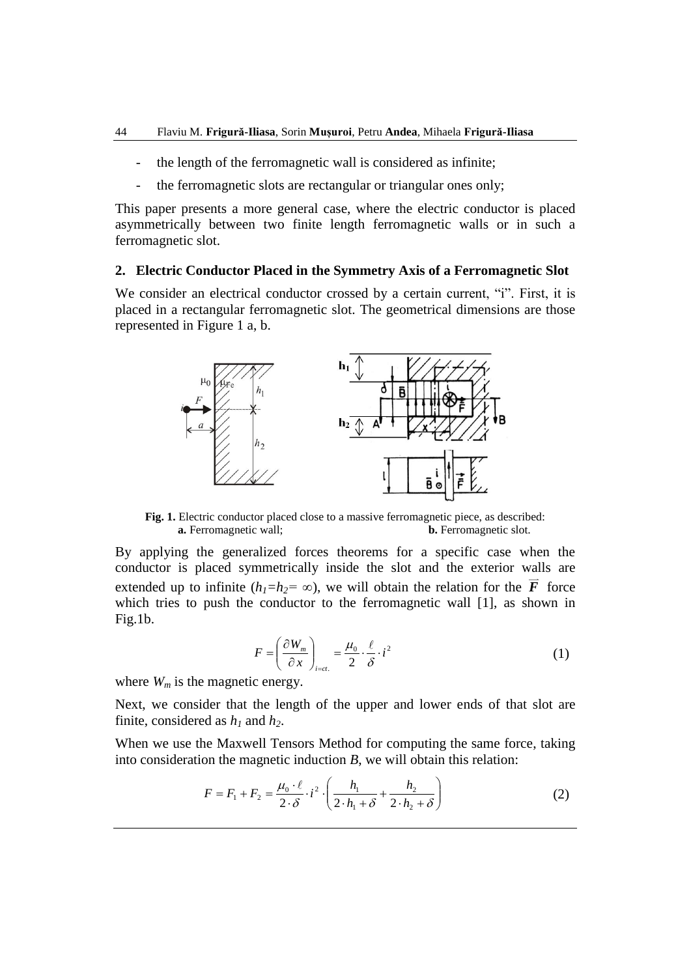- the length of the ferromagnetic wall is considered as infinite;
- the ferromagnetic slots are rectangular or triangular ones only;

This paper presents a more general case, where the electric conductor is placed asymmetrically between two finite length ferromagnetic walls or in such a ferromagnetic slot.

#### **2. Electric Conductor Placed in the Symmetry Axis of a Ferromagnetic Slot**

We consider an electrical conductor crossed by a certain current, "i". First, it is placed in a rectangular ferromagnetic slot. The geometrical dimensions are those represented in Figure 1 a, b.



**Fig. 1.** Electric conductor placed close to a massive ferromagnetic piece, as described: **a.** Ferromagnetic wall; **b.** Ferromagnetic slot.

By applying the generalized forces theorems for a specific case when the conductor is placed symmetrically inside the slot and the exterior walls are extended up to infinite  $(h_1 = h_2 = \infty)$ , we will obtain the relation for the F force which tries to push the conductor to the ferromagnetic wall [1], as shown in Fig.1b.

$$
F = \left(\frac{\partial W_m}{\partial x}\right)_{i=ct.} = \frac{\mu_0}{2} \cdot \frac{\ell}{\delta} \cdot i^2
$$
 (1)

where  $W_m$  is the magnetic energy.

Next, we consider that the length of the upper and lower ends of that slot are finite, considered as *h<sup>1</sup>* and *h2*.

When we use the Maxwell Tensors Method for computing the same force, taking into consideration the magnetic induction *B*, we will obtain this relation:

$$
F = F_1 + F_2 = \frac{\mu_0 \cdot \ell}{2 \cdot \delta} \cdot i^2 \cdot \left( \frac{h_1}{2 \cdot h_1 + \delta} + \frac{h_2}{2 \cdot h_2 + \delta} \right)
$$
 (2)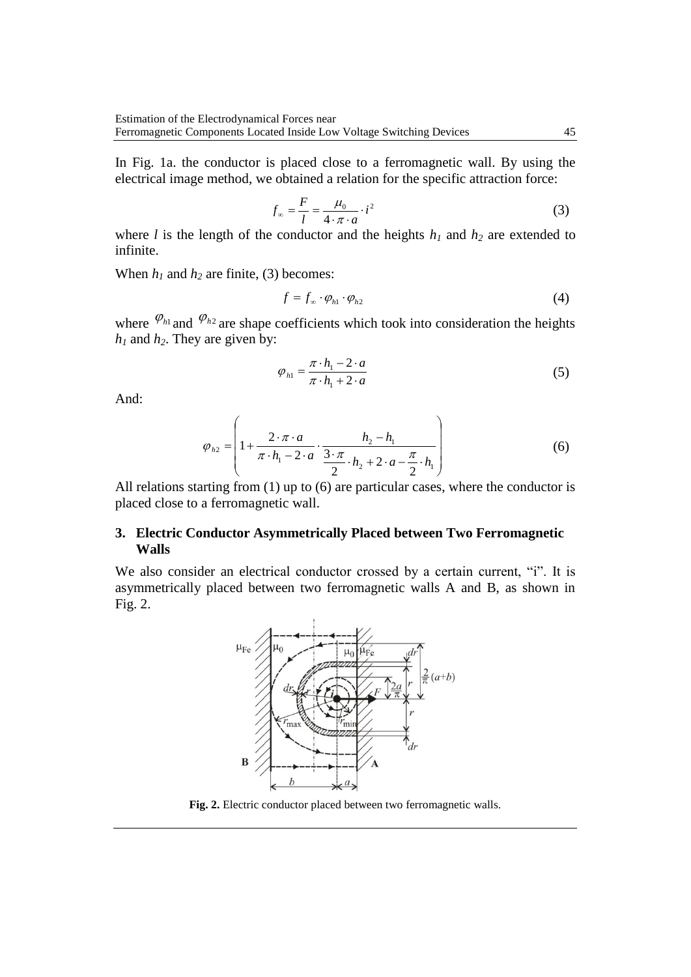In Fig. 1a. the conductor is placed close to a ferromagnetic wall. By using the electrical image method, we obtained a relation for the specific attraction force:

$$
f_{\infty} = \frac{F}{l} = \frac{\mu_0}{4 \cdot \pi \cdot a} \cdot i^2
$$
 (3)

where *l* is the length of the conductor and the heights  $h_1$  and  $h_2$  are extended to infinite.

When  $h_1$  and  $h_2$  are finite, (3) becomes:

$$
f = f_{\infty} \cdot \varphi_{h1} \cdot \varphi_{h2} \tag{4}
$$

where  $\varphi_{h1}$  and  $\varphi_{h2}$  are shape coefficients which took into consideration the heights  $h_1$  and  $h_2$ . They are given by:

$$
\varphi_{h1} = \frac{\pi \cdot h_1 - 2 \cdot a}{\pi \cdot h_1 + 2 \cdot a} \tag{5}
$$

And:

$$
\varphi_{h2} = \left( 1 + \frac{2 \cdot \pi \cdot a}{\pi \cdot h_1 - 2 \cdot a} \cdot \frac{h_2 - h_1}{\frac{3 \cdot \pi}{2} \cdot h_2 + 2 \cdot a - \frac{\pi}{2} \cdot h_1} \right) \tag{6}
$$

All relations starting from (1) up to (6) are particular cases, where the conductor is placed close to a ferromagnetic wall.

### **3. Electric Conductor Asymmetrically Placed between Two Ferromagnetic Walls**

We also consider an electrical conductor crossed by a certain current, "i". It is asymmetrically placed between two ferromagnetic walls A and B, as shown in Fig. 2.



**Fig. 2.** Electric conductor placed between two ferromagnetic walls.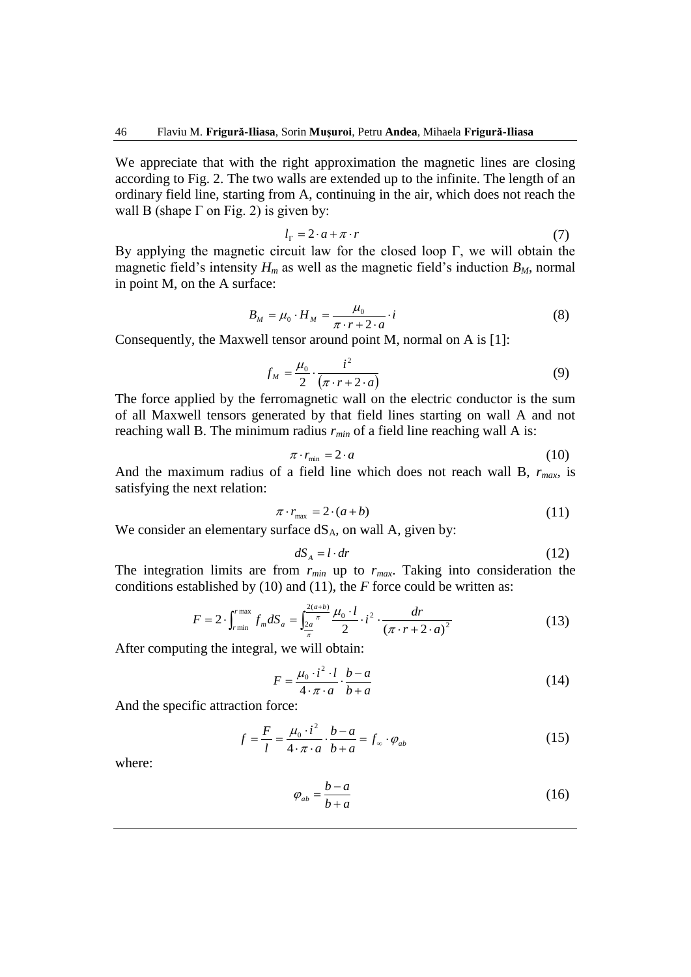We appreciate that with the right approximation the magnetic lines are closing according to Fig. 2. The two walls are extended up to the infinite. The length of an ordinary field line, starting from A, continuing in the air, which does not reach the wall B (shape  $\Gamma$  on Fig. 2) is given by:

$$
l_{\Gamma} = 2 \cdot a + \pi \cdot r \tag{7}
$$

By applying the magnetic circuit law for the closed loop Γ, we will obtain the magnetic field's intensity  $H_m$  as well as the magnetic field's induction  $B_M$ , normal in point M, on the A surface:

$$
B_M = \mu_0 \cdot H_M = \frac{\mu_0}{\pi \cdot r + 2 \cdot a} \cdot i \tag{8}
$$

Consequently, the Maxwell tensor around point M, normal on A is [1]:

$$
f_M = \frac{\mu_0}{2} \cdot \frac{i^2}{(\pi \cdot r + 2 \cdot a)}\tag{9}
$$

The force applied by the ferromagnetic wall on the electric conductor is the sum of all Maxwell tensors generated by that field lines starting on wall A and not reaching wall B. The minimum radius *rmin* of a field line reaching wall A is:

$$
\pi \cdot r_{\min} = 2 \cdot a \tag{10}
$$

And the maximum radius of a field line which does not reach wall B, *rmax*, is satisfying the next relation:

$$
\pi \cdot r_{\text{max}} = 2 \cdot (a+b) \tag{11}
$$

We consider an elementary surface  $dS_A$ , on wall A, given by:

$$
dS_A = l \cdot dr \tag{12}
$$

The integration limits are from  $r_{min}$  up to  $r_{max}$ . Taking into consideration the conditions established by (10) and (11), the *F* force could be written as:

$$
F = 2 \cdot \int_{r \min}^{r \max} f_m dS_a = \int_{\frac{2a}{\pi}}^{\frac{2(a+b)}{\pi}} \frac{\mu_0 \cdot l}{2} \cdot i^2 \cdot \frac{dr}{(\pi \cdot r + 2 \cdot a)^2}
$$
(13)

After computing the integral, we will obtain:

$$
F = \frac{\mu_0 \cdot i^2 \cdot l}{4 \cdot \pi \cdot a} \cdot \frac{b - a}{b + a} \tag{14}
$$

And the specific attraction force:

$$
f = \frac{F}{l} = \frac{\mu_0 \cdot i^2}{4 \cdot \pi \cdot a} \cdot \frac{b - a}{b + a} = f_\infty \cdot \varphi_{ab} \tag{15}
$$

where:

$$
\varphi_{ab} = \frac{b-a}{b+a} \tag{16}
$$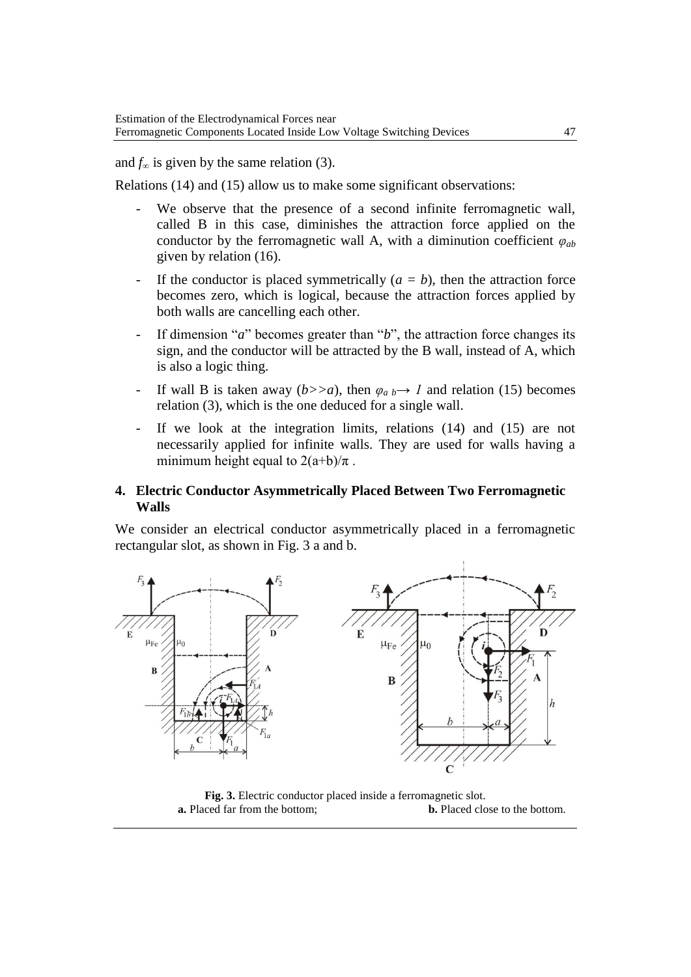and  $f_{\infty}$  is given by the same relation (3).

Relations (14) and (15) allow us to make some significant observations:

- We observe that the presence of a second infinite ferromagnetic wall, called B in this case, diminishes the attraction force applied on the conductor by the ferromagnetic wall A, with a diminution coefficient  $\varphi_{ab}$ given by relation (16).
- If the conductor is placed symmetrically  $(a = b)$ , then the attraction force becomes zero, which is logical, because the attraction forces applied by both walls are cancelling each other.
- If dimension "*a*" becomes greater than "*b*", the attraction force changes its sign, and the conductor will be attracted by the B wall, instead of A, which is also a logic thing.
- If wall B is taken away ( $b \gt a$ ), then  $\varphi_a$   $\rightarrow$  1 and relation (15) becomes relation (3), which is the one deduced for a single wall.
- If we look at the integration limits, relations  $(14)$  and  $(15)$  are not necessarily applied for infinite walls. They are used for walls having a minimum height equal to  $2(a+b)/\pi$ .

### **4. Electric Conductor Asymmetrically Placed Between Two Ferromagnetic Walls**

We consider an electrical conductor asymmetrically placed in a ferromagnetic rectangular slot, as shown in Fig. 3 a and b.



**Fig. 3.** Electric conductor placed inside a ferromagnetic slot. **a.** Placed far from the bottom; **b.** Placed close to the bottom.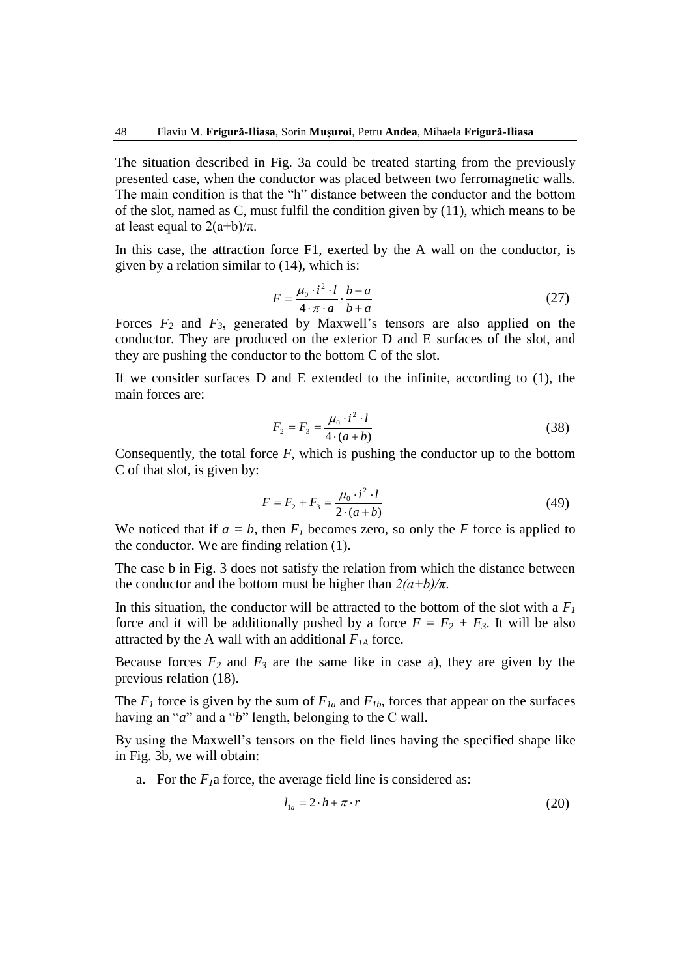The situation described in Fig. 3a could be treated starting from the previously presented case, when the conductor was placed between two ferromagnetic walls. The main condition is that the "h" distance between the conductor and the bottom of the slot, named as C, must fulfil the condition given by (11), which means to be at least equal to  $2(a+b)/π$ .

In this case, the attraction force F1, exerted by the A wall on the conductor, is given by a relation similar to (14), which is:

$$
F = \frac{\mu_0 \cdot i^2 \cdot l}{4 \cdot \pi \cdot a} \cdot \frac{b - a}{b + a} \tag{27}
$$

Forces *F<sup>2</sup>* and *F3*, generated by Maxwell's tensors are also applied on the conductor. They are produced on the exterior D and E surfaces of the slot, and they are pushing the conductor to the bottom C of the slot.

If we consider surfaces D and E extended to the infinite, according to (1), the main forces are:

$$
F_2 = F_3 = \frac{\mu_0 \cdot i^2 \cdot l}{4 \cdot (a+b)}\tag{38}
$$

Consequently, the total force  $F$ , which is pushing the conductor up to the bottom C of that slot, is given by:

$$
F = F_2 + F_3 = \frac{\mu_0 \cdot i^2 \cdot l}{2 \cdot (a+b)}\tag{49}
$$

We noticed that if  $a = b$ , then  $F_I$  becomes zero, so only the *F* force is applied to the conductor. We are finding relation (1).

The case b in Fig. 3 does not satisfy the relation from which the distance between the conductor and the bottom must be higher than  $2(a+b)/\pi$ .

In this situation, the conductor will be attracted to the bottom of the slot with a  $F_I$ force and it will be additionally pushed by a force  $F = F_2 + F_3$ . It will be also attracted by the A wall with an additional *F1A* force.

Because forces  $F_2$  and  $F_3$  are the same like in case a), they are given by the previous relation (18).

The  $F_I$  force is given by the sum of  $F_{Ia}$  and  $F_{Ib}$ , forces that appear on the surfaces having an "*a*" and a "*b*" length, belonging to the C wall.

By using the Maxwell's tensors on the field lines having the specified shape like in Fig. 3b, we will obtain:

a. For the  $F<sub>1</sub>a$  force, the average field line is considered as:

$$
l_{1a} = 2 \cdot h + \pi \cdot r \tag{20}
$$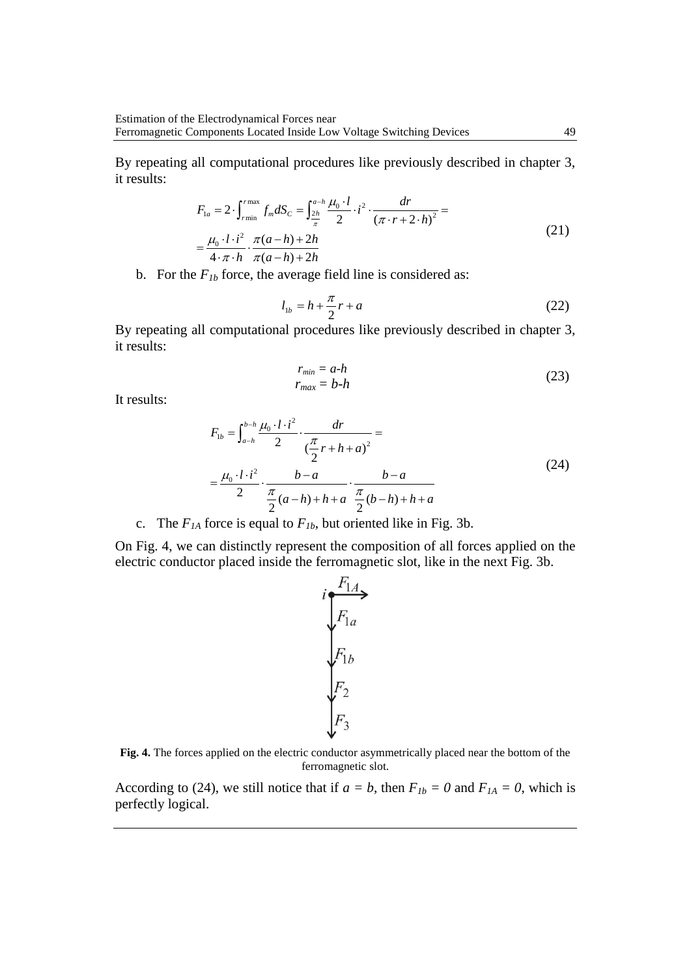By repeating all computational procedures like previously described in chapter 3, it results:

$$
F_{1a} = 2 \cdot \int_{r_{\text{min}}}^{r_{\text{max}}} f_m dS_C = \int_{\frac{2h}{\pi}}^{\frac{a-h}{\pi}} \frac{\mu_0 \cdot l}{2} \cdot i^2 \cdot \frac{dr}{(\pi \cdot r + 2 \cdot h)^2} =
$$
  
=  $\frac{\mu_0 \cdot l \cdot i^2}{4 \cdot \pi \cdot h} \cdot \frac{\pi(a-h) + 2h}{\pi(a-h) + 2h}$  (21)

b. For the  $F_{1b}$  force, the average field line is considered as:

$$
l_{1b} = h + \frac{\pi}{2}r + a
$$
 (22)

By repeating all computational procedures like previously described in chapter 3, it results:

$$
r_{min} = a-h
$$
  
\n
$$
r_{max} = b-h
$$
\n(23)

It results:

$$
F_{1b} = \int_{a-h}^{b-h} \frac{\mu_0 \cdot l \cdot i^2}{2} \cdot \frac{dr}{(\frac{\pi}{2}r + h + a)^2} =
$$
  
=  $\frac{\mu_0 \cdot l \cdot i^2}{2} \cdot \frac{b-a}{\frac{\pi}{2}(a-h) + h + a} \cdot \frac{b-a}{\frac{\pi}{2}(b-h) + h + a}$  (24)

c. The  $F_{IA}$  force is equal to  $F_{Ib}$ , but oriented like in Fig. 3b.

On Fig. 4, we can distinctly represent the composition of all forces applied on the electric conductor placed inside the ferromagnetic slot, like in the next Fig. 3b.



**Fig. 4.** The forces applied on the electric conductor asymmetrically placed near the bottom of the ferromagnetic slot.

According to (24), we still notice that if  $a = b$ , then  $F_{1b} = 0$  and  $F_{1A} = 0$ , which is perfectly logical.